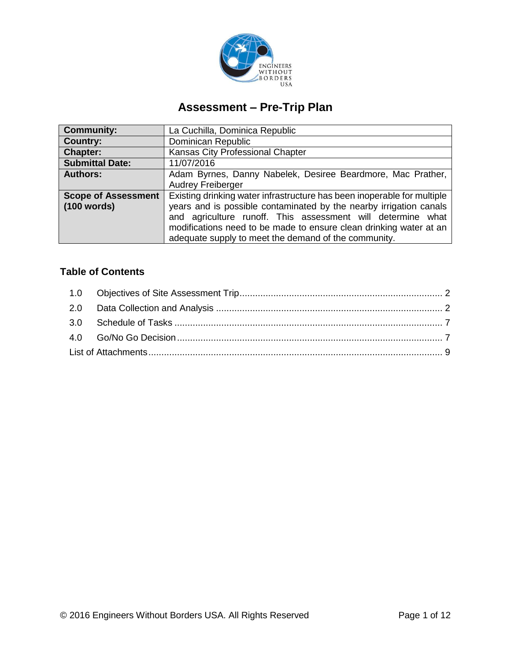

# **Assessment – Pre-Trip Plan**

| <b>Community:</b>          | La Cuchilla, Dominica Republic                                          |  |  |  |  |  |  |  |  |
|----------------------------|-------------------------------------------------------------------------|--|--|--|--|--|--|--|--|
| <b>Country:</b>            | Dominican Republic                                                      |  |  |  |  |  |  |  |  |
| <b>Chapter:</b>            | Kansas City Professional Chapter                                        |  |  |  |  |  |  |  |  |
| <b>Submittal Date:</b>     | 11/07/2016                                                              |  |  |  |  |  |  |  |  |
| <b>Authors:</b>            | Adam Byrnes, Danny Nabelek, Desiree Beardmore, Mac Prather,             |  |  |  |  |  |  |  |  |
|                            | <b>Audrey Freiberger</b>                                                |  |  |  |  |  |  |  |  |
| <b>Scope of Assessment</b> | Existing drinking water infrastructure has been inoperable for multiple |  |  |  |  |  |  |  |  |
| (100 words)                | years and is possible contaminated by the nearby irrigation canals      |  |  |  |  |  |  |  |  |
|                            | and agriculture runoff. This assessment will determine what             |  |  |  |  |  |  |  |  |
|                            | modifications need to be made to ensure clean drinking water at an      |  |  |  |  |  |  |  |  |
|                            | adequate supply to meet the demand of the community.                    |  |  |  |  |  |  |  |  |

# **Table of Contents**

<span id="page-0-0"></span>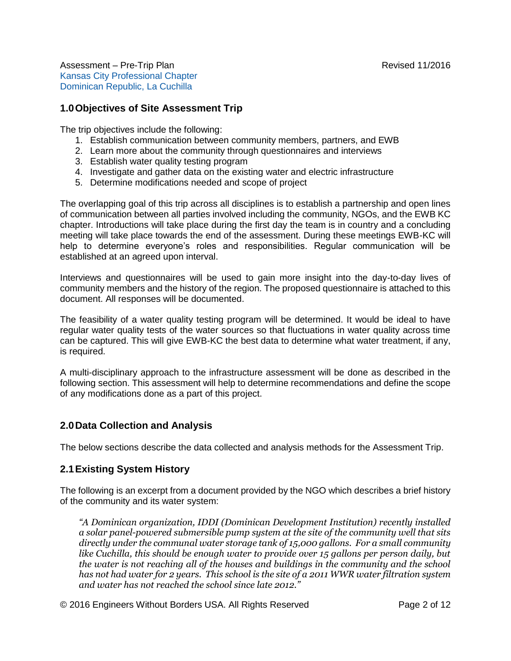# **1.0Objectives of Site Assessment Trip**

The trip objectives include the following:

- 1. Establish communication between community members, partners, and EWB
- 2. Learn more about the community through questionnaires and interviews
- 3. Establish water quality testing program
- 4. Investigate and gather data on the existing water and electric infrastructure
- 5. Determine modifications needed and scope of project

The overlapping goal of this trip across all disciplines is to establish a partnership and open lines of communication between all parties involved including the community, NGOs, and the EWB KC chapter. Introductions will take place during the first day the team is in country and a concluding meeting will take place towards the end of the assessment. During these meetings EWB-KC will help to determine everyone's roles and responsibilities. Regular communication will be established at an agreed upon interval.

Interviews and questionnaires will be used to gain more insight into the day-to-day lives of community members and the history of the region. The proposed questionnaire is attached to this document. All responses will be documented.

The feasibility of a water quality testing program will be determined. It would be ideal to have regular water quality tests of the water sources so that fluctuations in water quality across time can be captured. This will give EWB-KC the best data to determine what water treatment, if any, is required.

A multi-disciplinary approach to the infrastructure assessment will be done as described in the following section. This assessment will help to determine recommendations and define the scope of any modifications done as a part of this project.

# <span id="page-1-0"></span>**2.0Data Collection and Analysis**

The below sections describe the data collected and analysis methods for the Assessment Trip.

#### **2.1Existing System History**

The following is an excerpt from a document provided by the NGO which describes a brief history of the community and its water system:

*"A Dominican organization, IDDI (Dominican Development Institution) recently installed a solar panel-powered submersible pump system at the site of the community well that sits directly under the communal water storage tank of 15,000 gallons. For a small community like Cuchilla, this should be enough water to provide over 15 gallons per person daily, but the water is not reaching all of the houses and buildings in the community and the school has not had water for 2 years. This school is the site of a 2011 WWR water filtration system and water has not reached the school since late 2012."*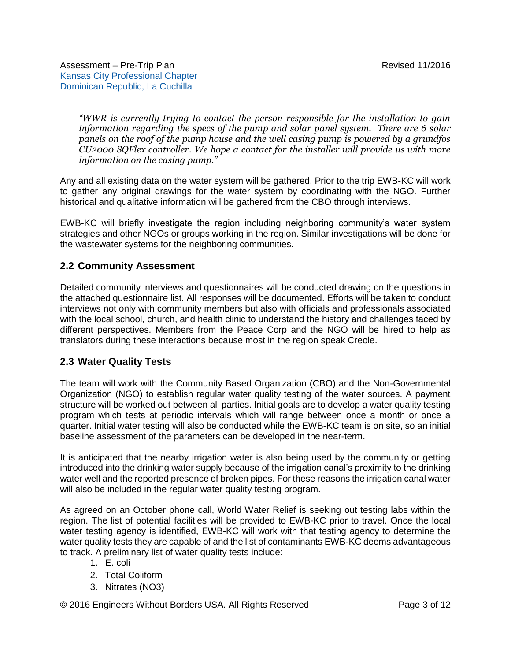*"WWR is currently trying to contact the person responsible for the installation to gain information regarding the specs of the pump and solar panel system. There are 6 solar panels on the roof of the pump house and the well casing pump is powered by a grundfos CU2000 SQFlex controller. We hope a contact for the installer will provide us with more information on the casing pump."* 

Any and all existing data on the water system will be gathered. Prior to the trip EWB-KC will work to gather any original drawings for the water system by coordinating with the NGO. Further historical and qualitative information will be gathered from the CBO through interviews.

EWB-KC will briefly investigate the region including neighboring community's water system strategies and other NGOs or groups working in the region. Similar investigations will be done for the wastewater systems for the neighboring communities.

#### **2.2 Community Assessment**

Detailed community interviews and questionnaires will be conducted drawing on the questions in the attached questionnaire list. All responses will be documented. Efforts will be taken to conduct interviews not only with community members but also with officials and professionals associated with the local school, church, and health clinic to understand the history and challenges faced by different perspectives. Members from the Peace Corp and the NGO will be hired to help as translators during these interactions because most in the region speak Creole.

# **2.3 Water Quality Tests**

The team will work with the Community Based Organization (CBO) and the Non-Governmental Organization (NGO) to establish regular water quality testing of the water sources. A payment structure will be worked out between all parties. Initial goals are to develop a water quality testing program which tests at periodic intervals which will range between once a month or once a quarter. Initial water testing will also be conducted while the EWB-KC team is on site, so an initial baseline assessment of the parameters can be developed in the near-term.

It is anticipated that the nearby irrigation water is also being used by the community or getting introduced into the drinking water supply because of the irrigation canal's proximity to the drinking water well and the reported presence of broken pipes. For these reasons the irrigation canal water will also be included in the regular water quality testing program.

As agreed on an October phone call, World Water Relief is seeking out testing labs within the region. The list of potential facilities will be provided to EWB-KC prior to travel. Once the local water testing agency is identified, EWB-KC will work with that testing agency to determine the water quality tests they are capable of and the list of contaminants EWB-KC deems advantageous to track. A preliminary list of water quality tests include:

- 1. E. coli
- 2. Total Coliform
- 3. Nitrates (NO3)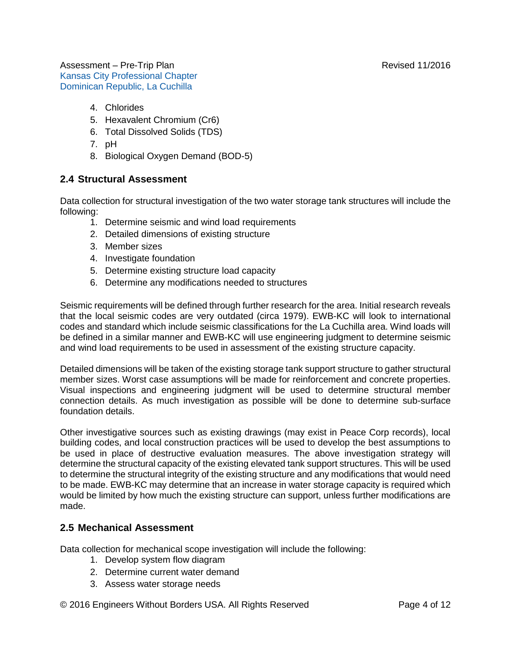- 4. Chlorides
- 5. Hexavalent Chromium (Cr6)
- 6. Total Dissolved Solids (TDS)
- 7. pH
- 8. Biological Oxygen Demand (BOD-5)

#### **2.4 Structural Assessment**

Data collection for structural investigation of the two water storage tank structures will include the following:

- 1. Determine seismic and wind load requirements
- 2. Detailed dimensions of existing structure
- 3. Member sizes
- 4. Investigate foundation
- 5. Determine existing structure load capacity
- 6. Determine any modifications needed to structures

Seismic requirements will be defined through further research for the area. Initial research reveals that the local seismic codes are very outdated (circa 1979). EWB-KC will look to international codes and standard which include seismic classifications for the La Cuchilla area. Wind loads will be defined in a similar manner and EWB-KC will use engineering judgment to determine seismic and wind load requirements to be used in assessment of the existing structure capacity.

Detailed dimensions will be taken of the existing storage tank support structure to gather structural member sizes. Worst case assumptions will be made for reinforcement and concrete properties. Visual inspections and engineering judgment will be used to determine structural member connection details. As much investigation as possible will be done to determine sub-surface foundation details.

Other investigative sources such as existing drawings (may exist in Peace Corp records), local building codes, and local construction practices will be used to develop the best assumptions to be used in place of destructive evaluation measures. The above investigation strategy will determine the structural capacity of the existing elevated tank support structures. This will be used to determine the structural integrity of the existing structure and any modifications that would need to be made. EWB-KC may determine that an increase in water storage capacity is required which would be limited by how much the existing structure can support, unless further modifications are made.

# **2.5 Mechanical Assessment**

Data collection for mechanical scope investigation will include the following:

- 1. Develop system flow diagram
- 2. Determine current water demand
- 3. Assess water storage needs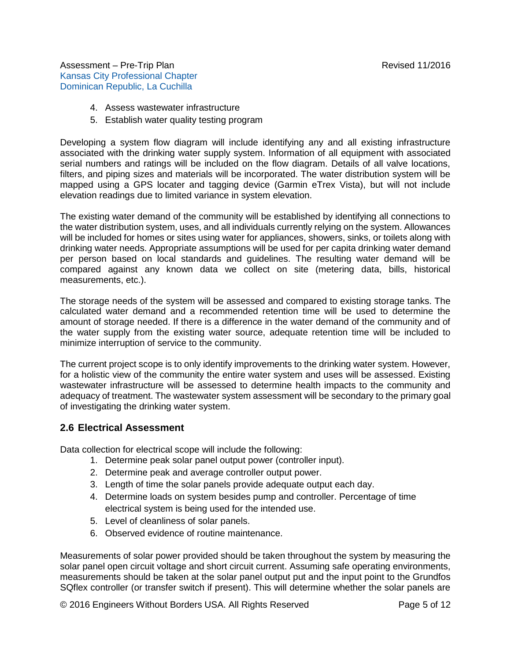- 4. Assess wastewater infrastructure
- 5. Establish water quality testing program

Developing a system flow diagram will include identifying any and all existing infrastructure associated with the drinking water supply system. Information of all equipment with associated serial numbers and ratings will be included on the flow diagram. Details of all valve locations, filters, and piping sizes and materials will be incorporated. The water distribution system will be mapped using a GPS locater and tagging device (Garmin eTrex Vista), but will not include elevation readings due to limited variance in system elevation.

The existing water demand of the community will be established by identifying all connections to the water distribution system, uses, and all individuals currently relying on the system. Allowances will be included for homes or sites using water for appliances, showers, sinks, or toilets along with drinking water needs. Appropriate assumptions will be used for per capita drinking water demand per person based on local standards and guidelines. The resulting water demand will be compared against any known data we collect on site (metering data, bills, historical measurements, etc.).

The storage needs of the system will be assessed and compared to existing storage tanks. The calculated water demand and a recommended retention time will be used to determine the amount of storage needed. If there is a difference in the water demand of the community and of the water supply from the existing water source, adequate retention time will be included to minimize interruption of service to the community.

The current project scope is to only identify improvements to the drinking water system. However, for a holistic view of the community the entire water system and uses will be assessed. Existing wastewater infrastructure will be assessed to determine health impacts to the community and adequacy of treatment. The wastewater system assessment will be secondary to the primary goal of investigating the drinking water system.

#### **2.6 Electrical Assessment**

Data collection for electrical scope will include the following:

- 1. Determine peak solar panel output power (controller input).
- 2. Determine peak and average controller output power.
- 3. Length of time the solar panels provide adequate output each day.
- 4. Determine loads on system besides pump and controller. Percentage of time electrical system is being used for the intended use.
- 5. Level of cleanliness of solar panels.
- 6. Observed evidence of routine maintenance.

Measurements of solar power provided should be taken throughout the system by measuring the solar panel open circuit voltage and short circuit current. Assuming safe operating environments, measurements should be taken at the solar panel output put and the input point to the Grundfos SQflex controller (or transfer switch if present). This will determine whether the solar panels are

© 2016 Engineers Without Borders USA. All Rights Reserved Page 5 of 12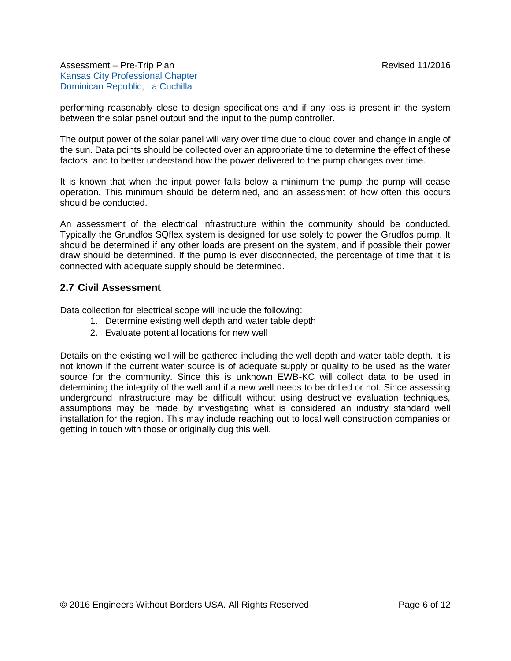performing reasonably close to design specifications and if any loss is present in the system between the solar panel output and the input to the pump controller.

The output power of the solar panel will vary over time due to cloud cover and change in angle of the sun. Data points should be collected over an appropriate time to determine the effect of these factors, and to better understand how the power delivered to the pump changes over time.

It is known that when the input power falls below a minimum the pump the pump will cease operation. This minimum should be determined, and an assessment of how often this occurs should be conducted.

An assessment of the electrical infrastructure within the community should be conducted. Typically the Grundfos SQflex system is designed for use solely to power the Grudfos pump. It should be determined if any other loads are present on the system, and if possible their power draw should be determined. If the pump is ever disconnected, the percentage of time that it is connected with adequate supply should be determined.

#### **2.7 Civil Assessment**

Data collection for electrical scope will include the following:

- 1. Determine existing well depth and water table depth
- 2. Evaluate potential locations for new well

<span id="page-5-0"></span>Details on the existing well will be gathered including the well depth and water table depth. It is not known if the current water source is of adequate supply or quality to be used as the water source for the community. Since this is unknown EWB-KC will collect data to be used in determining the integrity of the well and if a new well needs to be drilled or not. Since assessing underground infrastructure may be difficult without using destructive evaluation techniques, assumptions may be made by investigating what is considered an industry standard well installation for the region. This may include reaching out to local well construction companies or getting in touch with those or originally dug this well.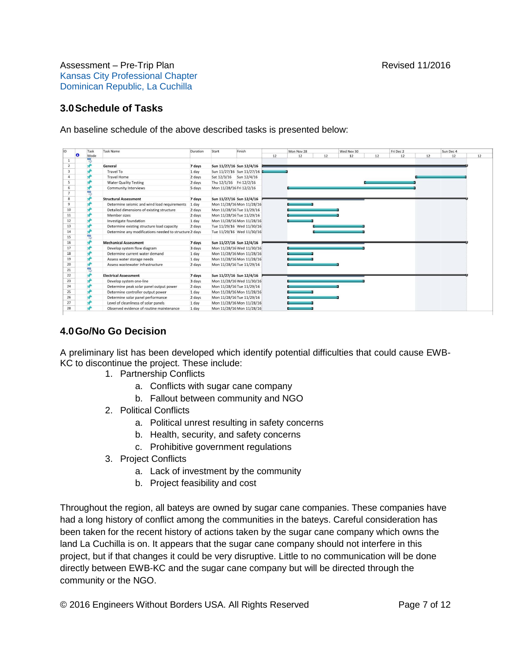### **3.0Schedule of Tasks**

An baseline schedule of the above described tasks is presented below:

|                         | Task | <b>Task Name</b>                                       | Duration | Start                    | Finish                    |    | Mon Nov 28 |    | Wed Nov 30 |    | Fri Dec 2 |    | Sun Dec 4 |    |
|-------------------------|------|--------------------------------------------------------|----------|--------------------------|---------------------------|----|------------|----|------------|----|-----------|----|-----------|----|
| a                       | Mode |                                                        |          |                          |                           | 12 | 12         | 12 | 12         | 12 | 12        | 12 | 12        | 12 |
| $\mathbf{1}$            |      |                                                        |          |                          |                           |    |            |    |            |    |           |    |           |    |
| $\overline{2}$          |      | General                                                | 7 days   |                          | Sun 11/27/16 Sun 12/4/16  |    |            |    |            |    |           |    |           |    |
| $\overline{\mathbf{3}}$ |      | Travel To                                              | 1 day    |                          | Sun 11/27/16 Sun 11/27/16 |    |            |    |            |    |           |    |           |    |
|                         |      | <b>Travel Home</b>                                     | 2 days   |                          | Sat 12/3/16 Sun 12/4/16   |    |            |    |            |    |           |    |           |    |
| 5                       |      | <b>Water Quality Testing</b>                           | 2 days   | Thu 12/1/16 Fri 12/2/16  |                           |    |            |    |            |    |           |    |           |    |
| 6                       |      | <b>Community Interviews</b>                            | 5 days   | Mon 11/28/16 Fri 12/2/16 |                           |    |            |    |            |    |           |    |           |    |
| $\overline{7}$          |      |                                                        |          |                          |                           |    |            |    |            |    |           |    |           |    |
| 8                       |      | <b>Structural Assessment</b>                           | 7 days   |                          | Sun 11/27/16 Sun 12/4/16  |    |            |    |            |    |           |    |           |    |
| $\overline{9}$          |      | Determine seismic and wind load requirements           | 1 day    |                          | Mon 11/28/16 Mon 11/28/16 |    |            |    |            |    |           |    |           |    |
| 10                      |      | Detailed dimensions of existing structure              | 2 days   |                          | Mon 11/28/16 Tue 11/29/16 |    |            |    |            |    |           |    |           |    |
| 11                      |      | Member sizes                                           | 2 days   |                          | Mon 11/28/16 Tue 11/29/16 |    |            |    |            |    |           |    |           |    |
| 12                      |      | Investigate foundation                                 | 1 day    |                          | Mon 11/28/16 Mon 11/28/16 |    |            |    |            |    |           |    |           |    |
| 13                      |      | Determine existing structure load capacity             | 2 days   |                          | Tue 11/29/16 Wed 11/30/16 |    |            |    |            |    |           |    |           |    |
| 14                      |      | Determine any modifications needed to structure 2 days |          |                          | Tue 11/29/16 Wed 11/30/16 |    |            |    |            |    |           |    |           |    |
| 15                      |      |                                                        |          |                          |                           |    |            |    |            |    |           |    |           |    |
| 16                      |      | <b>Mechanical Assessment</b>                           | 7 days   |                          | Sun 11/27/16 Sun 12/4/16  |    |            |    |            |    |           |    |           |    |
| 17                      |      | Develop system flow diagram                            | 3 days   |                          | Mon 11/28/16 Wed 11/30/16 |    |            |    |            |    |           |    |           |    |
| 18                      |      | Determine current water demand                         | 1 day    |                          | Mon 11/28/16 Mon 11/28/16 |    |            |    |            |    |           |    |           |    |
| 19                      |      | Assess water storage needs                             | 1 day    |                          | Mon 11/28/16 Mon 11/28/16 |    |            |    |            |    |           |    |           |    |
| 20                      |      | Assess wastewater infrastructure                       | 2 days   |                          | Mon 11/28/16 Tue 11/29/16 |    |            |    |            |    |           |    |           |    |
| 21                      |      |                                                        |          |                          |                           |    |            |    |            |    |           |    |           |    |
| 22                      |      | <b>Electrical Assessment</b>                           | 7 days   |                          | Sun 11/27/16 Sun 12/4/16  |    |            |    |            |    |           |    |           |    |
| 23                      |      | Develop system one-line                                | 3 days   |                          | Mon 11/28/16 Wed 11/30/16 |    |            |    |            |    |           |    |           |    |
| 24                      |      | Determine peak solar panel output power                | 2 days   |                          | Mon 11/28/16 Tue 11/29/16 |    |            |    |            |    |           |    |           |    |
| 25                      |      | Determine controller output power                      | 1 day    |                          | Mon 11/28/16 Mon 11/28/16 |    |            |    |            |    |           |    |           |    |
| 26                      |      | Determine solar panel performance                      | 2 days   |                          | Mon 11/28/16 Tue 11/29/16 |    | __         |    |            |    |           |    |           |    |
| 27                      |      | Level of cleanliness of solar panels                   | 1 day    |                          | Mon 11/28/16 Mon 11/28/16 |    |            |    |            |    |           |    |           |    |
| 28                      |      | Observed evidence of routine maintenance               | 1 day    |                          | Mon 11/28/16 Mon 11/28/16 |    |            |    |            |    |           |    |           |    |

# <span id="page-6-0"></span>**4.0Go/No Go Decision**

A preliminary list has been developed which identify potential difficulties that could cause EWB-KC to discontinue the project. These include:

- 1. Partnership Conflicts
	- a. Conflicts with sugar cane company
	- b. Fallout between community and NGO
- 2. Political Conflicts
	- a. Political unrest resulting in safety concerns
	- b. Health, security, and safety concerns
	- c. Prohibitive government regulations
- 3. Project Conflicts
	- a. Lack of investment by the community
	- b. Project feasibility and cost

Throughout the region, all bateys are owned by sugar cane companies. These companies have had a long history of conflict among the communities in the bateys. Careful consideration has been taken for the recent history of actions taken by the sugar cane company which owns the land La Cuchilla is on. It appears that the sugar cane company should not interfere in this project, but if that changes it could be very disruptive. Little to no communication will be done directly between EWB-KC and the sugar cane company but will be directed through the community or the NGO.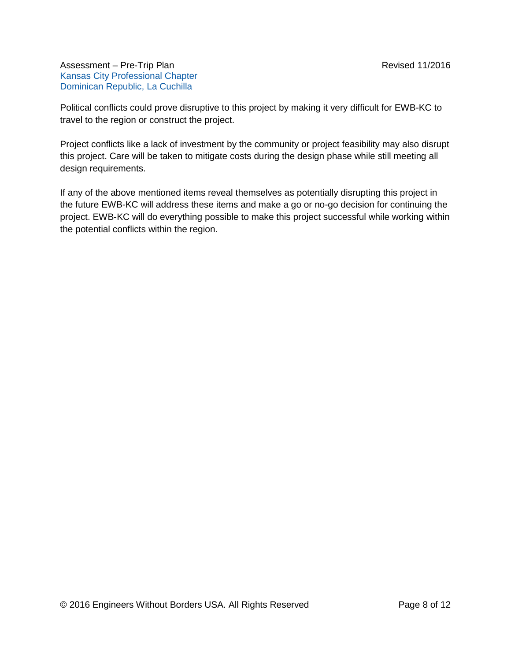Political conflicts could prove disruptive to this project by making it very difficult for EWB-KC to travel to the region or construct the project.

Project conflicts like a lack of investment by the community or project feasibility may also disrupt this project. Care will be taken to mitigate costs during the design phase while still meeting all design requirements.

<span id="page-7-0"></span>If any of the above mentioned items reveal themselves as potentially disrupting this project in the future EWB-KC will address these items and make a go or no-go decision for continuing the project. EWB-KC will do everything possible to make this project successful while working within the potential conflicts within the region.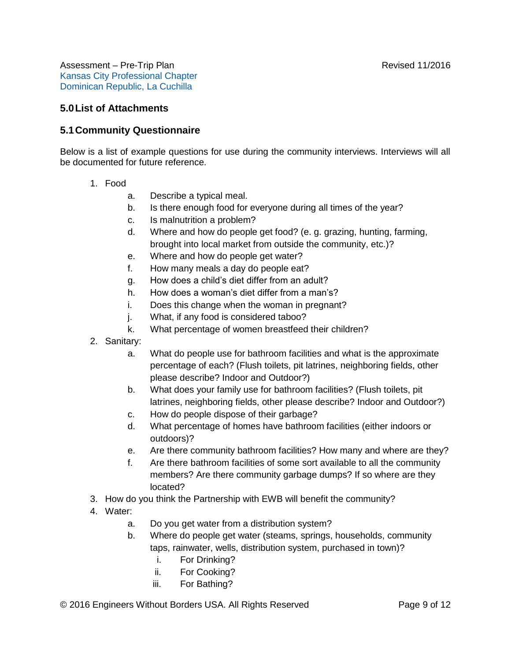### **5.0List of Attachments**

#### **5.1Community Questionnaire**

Below is a list of example questions for use during the community interviews. Interviews will all be documented for future reference.

- 1. Food
	- a. Describe a typical meal.
	- b. Is there enough food for everyone during all times of the year?
	- c. Is malnutrition a problem?
	- d. Where and how do people get food? (e. g. grazing, hunting, farming, brought into local market from outside the community, etc.)?
	- e. Where and how do people get water?
	- f. How many meals a day do people eat?
	- g. How does a child's diet differ from an adult?
	- h. How does a woman's diet differ from a man's?
	- i. Does this change when the woman in pregnant?
	- j. What, if any food is considered taboo?
	- k. What percentage of women breastfeed their children?
- 2. Sanitary:
	- a. What do people use for bathroom facilities and what is the approximate percentage of each? (Flush toilets, pit latrines, neighboring fields, other please describe? Indoor and Outdoor?)
	- b. What does your family use for bathroom facilities? (Flush toilets, pit latrines, neighboring fields, other please describe? Indoor and Outdoor?)
	- c. How do people dispose of their garbage?
	- d. What percentage of homes have bathroom facilities (either indoors or outdoors)?
	- e. Are there community bathroom facilities? How many and where are they?
	- f. Are there bathroom facilities of some sort available to all the community members? Are there community garbage dumps? If so where are they located?
- 3. How do you think the Partnership with EWB will benefit the community?
- 4. Water:
	- a. Do you get water from a distribution system?
	- b. Where do people get water (steams, springs, households, community taps, rainwater, wells, distribution system, purchased in town)?
		- i. For Drinking?
		- ii. For Cooking?
		- iii. For Bathing?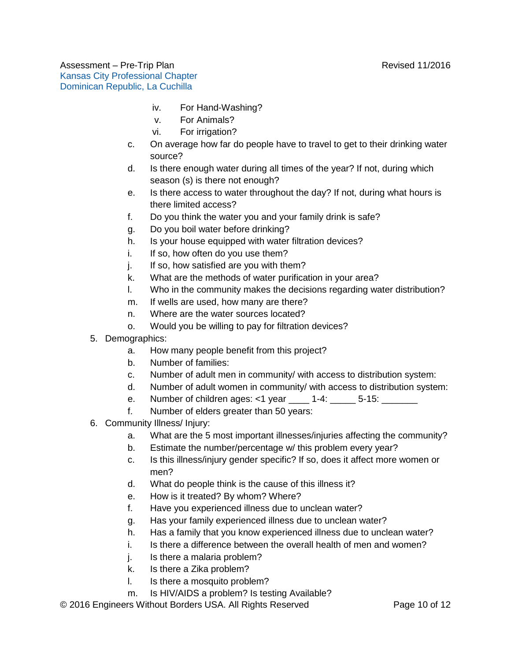- iv. For Hand-Washing?
- v. For Animals?
- vi. For irrigation?
- c. On average how far do people have to travel to get to their drinking water source?
- d. Is there enough water during all times of the year? If not, during which season (s) is there not enough?
- e. Is there access to water throughout the day? If not, during what hours is there limited access?
- f. Do you think the water you and your family drink is safe?
- g. Do you boil water before drinking?
- h. Is your house equipped with water filtration devices?
- i. If so, how often do you use them?
- j. If so, how satisfied are you with them?
- k. What are the methods of water purification in your area?
- l. Who in the community makes the decisions regarding water distribution?
- m. If wells are used, how many are there?
- n. Where are the water sources located?
- o. Would you be willing to pay for filtration devices?
- 5. Demographics:
	- a. How many people benefit from this project?
	- b. Number of families:
	- c. Number of adult men in community/ with access to distribution system:
	- d. Number of adult women in community/ with access to distribution system:
	- e. Number of children ages: <1 year \_\_\_\_ 1-4: \_\_\_\_\_ 5-15: \_\_\_\_\_\_\_
	- f. Number of elders greater than 50 years:
- 6. Community Illness/ Injury:
	- a. What are the 5 most important illnesses/injuries affecting the community?
	- b. Estimate the number/percentage w/ this problem every year?
	- c. Is this illness/injury gender specific? If so, does it affect more women or men?
	- d. What do people think is the cause of this illness it?
	- e. How is it treated? By whom? Where?
	- f. Have you experienced illness due to unclean water?
	- g. Has your family experienced illness due to unclean water?
	- h. Has a family that you know experienced illness due to unclean water?
	- i. Is there a difference between the overall health of men and women?
	- i. Is there a malaria problem?
	- k. Is there a Zika problem?
	- l. Is there a mosquito problem?
	- m. Is HIV/AIDS a problem? Is testing Available?

© 2016 Engineers Without Borders USA. All Rights Reserved Page 10 of 12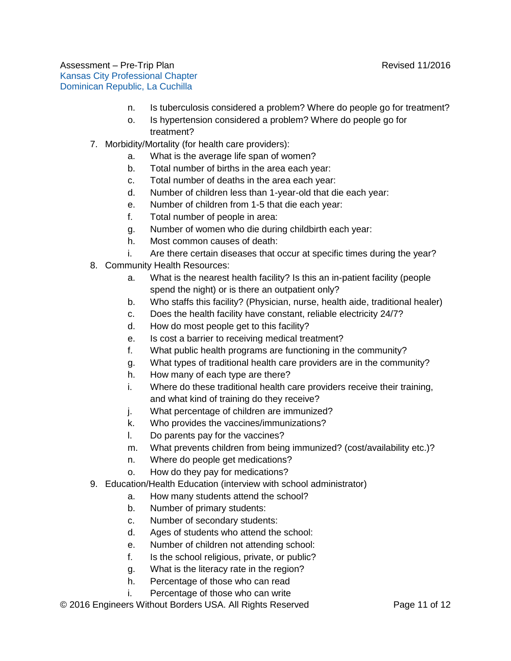- n. Is tuberculosis considered a problem? Where do people go for treatment?
- o. Is hypertension considered a problem? Where do people go for treatment?
- 7. Morbidity/Mortality (for health care providers):
	- a. What is the average life span of women?
	- b. Total number of births in the area each year:
	- c. Total number of deaths in the area each year:
	- d. Number of children less than 1-year-old that die each year:
	- e. Number of children from 1-5 that die each year:
	- f. Total number of people in area:
	- g. Number of women who die during childbirth each year:
	- h. Most common causes of death:
	- i. Are there certain diseases that occur at specific times during the year?
- 8. Community Health Resources:
	- a. What is the nearest health facility? Is this an in-patient facility (people spend the night) or is there an outpatient only?
	- b. Who staffs this facility? (Physician, nurse, health aide, traditional healer)
	- c. Does the health facility have constant, reliable electricity 24/7?
	- d. How do most people get to this facility?
	- e. Is cost a barrier to receiving medical treatment?
	- f. What public health programs are functioning in the community?
	- g. What types of traditional health care providers are in the community?
	- h. How many of each type are there?
	- i. Where do these traditional health care providers receive their training, and what kind of training do they receive?
	- j. What percentage of children are immunized?
	- k. Who provides the vaccines/immunizations?
	- l. Do parents pay for the vaccines?
	- m. What prevents children from being immunized? (cost/availability etc.)?
	- n. Where do people get medications?
	- o. How do they pay for medications?
- 9. Education/Health Education (interview with school administrator)
	- a. How many students attend the school?
	- b. Number of primary students:
	- c. Number of secondary students:
	- d. Ages of students who attend the school:
	- e. Number of children not attending school:
	- f. Is the school religious, private, or public?
	- g. What is the literacy rate in the region?
	- h. Percentage of those who can read
	- i. Percentage of those who can write

© 2016 Engineers Without Borders USA. All Rights Reserved Page 11 of 12